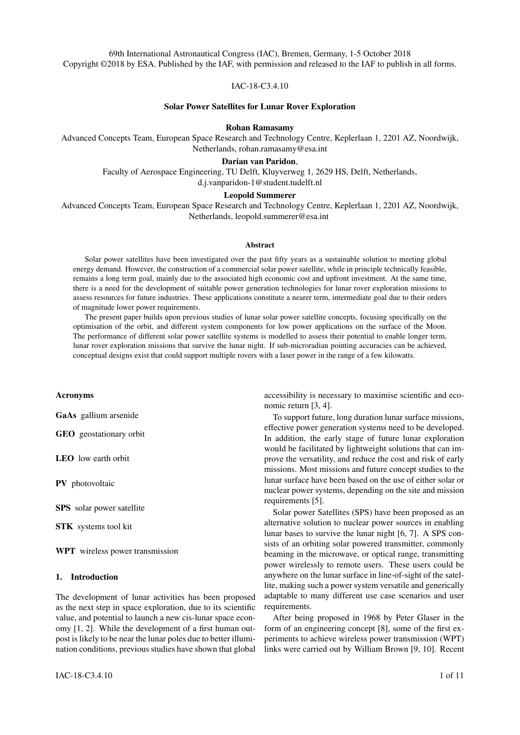IAC-18-C3.4.10

#### Solar Power Satellites for Lunar Rover Exploration

Rohan Ramasamy

Advanced Concepts Team, European Space Research and Technology Centre, Keplerlaan 1, 2201 AZ, Noordwijk, Netherlands, rohan.ramasamy@esa.int

### Darian van Paridon,

Faculty of Aerospace Engineering, TU Delft, Kluyverweg 1, 2629 HS, Delft, Netherlands,

d.j.vanparidon-1@student.tudelft.nl

# Leopold Summerer

Advanced Concepts Team, European Space Research and Technology Centre, Keplerlaan 1, 2201 AZ, Noordwijk, Netherlands, leopold.summerer@esa.int

### Abstract

Solar power satellites have been investigated over the past fifty years as a sustainable solution to meeting global energy demand. However, the construction of a commercial solar power satellite, while in principle technically feasible, remains a long term goal, mainly due to the associated high economic cost and upfront investment. At the same time, there is a need for the development of suitable power generation technologies for lunar rover exploration missions to assess resources for future industries. These applications constitute a nearer term, intermediate goal due to their orders of magnitude lower power requirements.

The present paper builds upon previous studies of lunar solar power satellite concepts, focusing specifically on the optimisation of the orbit, and different system components for low power applications on the surface of the Moon. The performance of different solar power satellite systems is modelled to assess their potential to enable longer term, lunar rover exploration missions that survive the lunar night. If sub-microradian pointing accuracies can be achieved, conceptual designs exist that could support multiple rovers with a laser power in the range of a few kilowatts.

#### Acronyms

GaAs gallium arsenide

GEO geostationary orbit

LEO low earth orbit

PV photovoltaic

SPS solar power satellite

STK systems tool kit

WPT wireless power transmission

# 1. Introduction

The development of lunar activities has been proposed as the next step in space exploration, due to its scientific value, and potential to launch a new cis-lunar space economy [1, 2]. While the development of a first human outpost is likely to be near the lunar poles due to better illumination conditions, previous studies have shown that global accessibility is necessary to maximise scientific and economic return [3, 4].

To support future, long duration lunar surface missions, effective power generation systems need to be developed. In addition, the early stage of future lunar exploration would be facilitated by lightweight solutions that can improve the versatility, and reduce the cost and risk of early missions. Most missions and future concept studies to the lunar surface have been based on the use of either solar or nuclear power systems, depending on the site and mission requirements [5].

Solar power Satellites (SPS) have been proposed as an alternative solution to nuclear power sources in enabling lunar bases to survive the lunar night [6, 7]. A SPS consists of an orbiting solar powered transmitter, commonly beaming in the microwave, or optical range, transmitting power wirelessly to remote users. These users could be anywhere on the lunar surface in line-of-sight of the satellite, making such a power system versatile and generically adaptable to many different use case scenarios and user requirements.

After being proposed in 1968 by Peter Glaser in the form of an engineering concept [8], some of the first experiments to achieve wireless power transmission (WPT) links were carried out by William Brown [9, 10]. Recent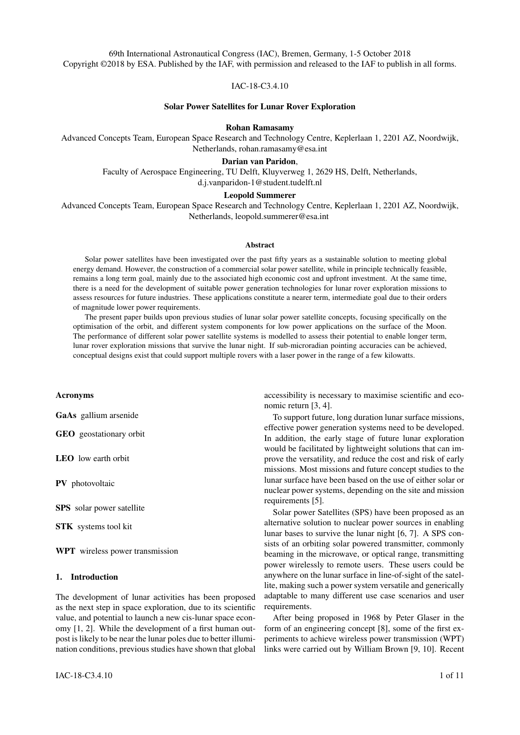

Figure 1: Artist's impression of the next generation Exo-Mars 2020 rover (courtesy of ESA ATG MediaLab). For a solar powered rover to be designed for the lunar environment, without reliance on nuclear technologies, a solution needs to be found for surviving the 14 day lunar night.

studies have outlined the potential value of SPS to the space sector [11]. Studies on the terrestrial applications of SPS have culminated in the general consensus that, while SPS would be technically feasible, most scenarios were economically challenging or impractical compared to alternatives [12].

The situation regarding the application of SPS for supplying power to in-space users is governed by a different set of evaluation parameters, including especially the additional versatility that such concepts offer. Brandhorst et al. carried out several studies to explore large scale, lunar SPS concepts. Their work outlines the performance of a power transmission link consisting of an orbiting satellite, transmitting 40 kW to a lunar site with a 62  $m^2$  receiver on the lunar surface [13, 14]. The results show the potential to significantly reduce blackout times, achieving almost continuous coverage with small SPS constellations. A recent study also supports the possibility of applying SPS to facilitate Moon village concepts [15]. It remains unclear whether for high power levels, and large-scale users, investment in less versatile, but higher efficiency nuclear solutions would be advantageous.

Space start-ups have begun to develop compact, lightweight lunar rovers for exploring the lunar surface in search of resources, largely triggered by the launch of the Google X prize [16]. None of these mission concepts based near the equatorial plane are designed to survive the lunar night. The power requirements for such rovers to hibernate are in the order of 10  $W$  [17]. The use of SPS has been proposed for powering rovers in the past [11], but never for such lightweight lunar rover concepts. Next generation solar powered rover designs, following the stateof-the-art ExoMars 2020 rover (see Fig. 1), might also benefit from additional energy provided via such a WPT system. It could furthermore lower or remove the dependence of long-term, early stage lunar exploration on nuclear power systems.

The versatility of a SPS energy service provider could be particularly interesting during the early phase of lunar development, where lightweight, low cost rover exploration missions need to be developed to characterise the lunar surface, and its resources. This paper presents a preliminary analysis of lunar SPS links between orbiting satellites and a remote user on the surface of the Moon. The study focuses on the design of SPS systems that are delivering relatively low power levels, in the range of  $10 W$  to  $1000 W$ , to small scale users on the lunar surface.

In Section 2, the necessary theoretical background to designing WPT links for the Moon is discussed, based on which the parameter space of orbital simulations will be determined. The methods used to model orbits with systems tool kit (STK) are outlined in Section 3. The results for SPS orbits around the Moon are then presented in Section 4. In Section 5, the viability of a SPS energy service provider concept for the Moon is discussed, and the conclusions, and further work from this study are provided in Section 6.

### 2. Theoretical design of a power transmission link

The performance of a SPS power transmission link can be approximated by modeling it similarly to a communication link, using the link performance equation [18]. For this study, the performance equation for a power transmission link is written as

$$
P_r = \eta_{link} \eta_r P_t,\tag{1}
$$

where  $P_r$  is the received power,  $P_t$  is the transmitted power by the SPS, and  $\eta_{link}$  and  $\eta_r$  are the link and receiver efficiency, respectively. The satellite efficiency terms are omitted as the focus of this study is not the design of the SPS itself. Instead, the transmitted laser power is restricted to levels considered achievable by current and near term technologies, as discussed in Section 2.6.

In this section, an initial assessment of the above terms will be given to characterise the SPS system. In addition, several other properties need to be assessed. These include the required pointing accuracy to ensure that the transmitted beam will hit the target, the required storage of energy on the receiver, and the laser wavelength of the transmitter. Each of these issues will be discussed below alongside terms in the power transmission equation for defining the performance of the link.

The following analysis is restricted to optical wireless power transmission systems. The reason that microwave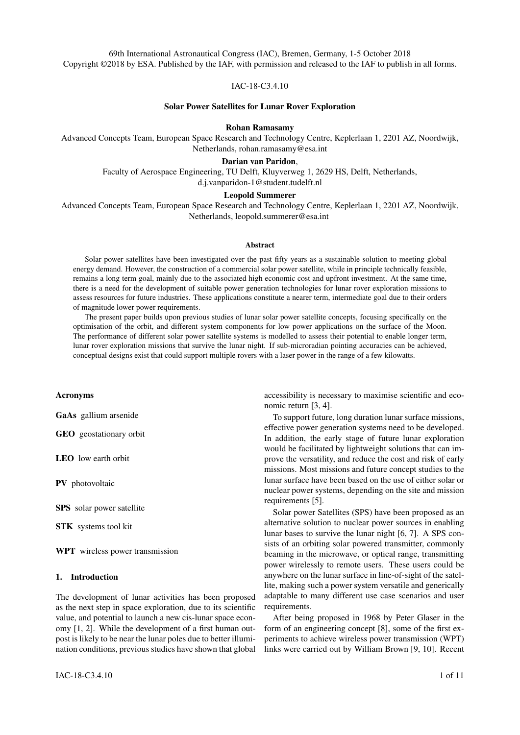systems are not suitable for the considered application is discussed in Section 2.7.

### *2.1 Rover design and power requirements -* Pin

The required power at the receiver will depend on the rover design. We consider two designs taken from specifications of the Sorato and AMALIA rovers (as shown in Table 1). These designs are used as representative examples of lightweight specifications for 'new-space' solar powered lunar rovers, though the two rovers differ significantly.

For the Sorato rover, the power requirements for hibernation,  $P_{hibernation}$ , and operation,  $P_{operation}$ , are taken to be  $4.5$  W and  $21.5$  W. These values correspond to when the rover is idle, and operating in variable terrain conditions, respectively [19]. For the AMALIA rover, the hibernation and operation power are  $7.2$  W and  $100$  W, corresponding to the heating requirements for the rover without incident light from the sun, and its maximum power [17]. The battery capacity,  $E_{battery}$ , is 38 Whr for the Sorato rover and 100 Whr for the AMALIA rover.

#### *2.2 Rover receiver efficiency -* η<sup>r</sup>

The chosen photovoltaic (PV) receiver needs to have a high efficiency for both the solar spectrum, and monochromatic light at the wavelength emitted by the laser on the satellite. For broadband sunlight, the efficiency is assumed to be low because the cells will be optimised for monochromatic conversion. As a result, they are expected to perform worse than conventional space solar cells when exposed to the solar spectrum. A 20 % receiver efficiency is assumed, similar to values used in previous studies using gallium arsenide (GaAs) cells [14].

Monochromatic PV cells have been developed for low, and high power applications [20, 21, 22], but power levels for terrestrial non-military applications are currently below 1 W. Efficiency levels above 50  $\%$  have been reported for GaAs laser concepts [23]. The assumed maximum efficiency of the receiver is limited to 50 % for this assessment.

### *2.2.1 Receiver area and surface flux*

The receiver area,  $A_r$ , (as shown in Table 1) for the rovers has been calculated based on the necessary area to generate the active power requirements in sunlight (solar flux of 1367.0  $Wm<sup>-2</sup>$  and the estimated receiver efficiency for the rover.

When powered by the satellite, the necessary transmitted power incident on the receiver is between 9 W and 200 W, depending on the targeted rover specifications, and operational mode. The required surface flux

 $IAC-18-C3.4.10$   $3 \text{ of } 11$ 

on the Moon depends on the receiver area of the targeted rover, and varies from approximately  $39.3$   $Wm$ to 546.4  $Wm^{-2}$  for the cases studied. Despite its lower power requirements, the minimum surface flux is not set by the Sorato rover, because of its much smaller assumed receiver size.

# *2.2.2 Tracking losses*

The analysis in this study does not take into account tracking losses due to angular misalignment of the receiver with the transmitted beam. For small rover systems, tracking capabilities are likely to be limited. The exact loss due to tracking depends on the detailed rover design, orbit of the satellite, and location of the rover on the Moon. For this initial study, the parameter space could not be explored fully, and so was omitted.

# *2.3 Link efficiency -* ηlink

The link efficiency is determined by the required pointing accuracy and beam spreading.

### *2.3.1 Pointing accuracy*

For power transmission applications, pointing errors must not prevent the necessary average power from being received. There is currently no established convention on the pointing requirements for a power transmission link. For small-scale applications, where the receiver is limited in terms of size, the transmitted beam will need to be larger than the receiver to ensure that power is transmitted continuously.

If the receiver is assumed to be circular (see Fig. 2), an estimate of the required radius of the beam is given by

$$
w_b > \epsilon_p + w_r = z\sigma_p + w_r,\tag{2}
$$

where  $\epsilon_p$  is the error in offset distance of the beam at the target, z is the transmission distance, and  $\sigma_p$  is the error in pointing angle by the satellite, which is assumed to be small.  $w_b$  and  $w_r$  are the beam radius and receiver radius, respectively.

The above definition of the pointing accuracy constraint does not take into account the gaussian profile of the beam. This assumption is appropriate if the beam size is expected to be appreciably greater than the transmitter radius, such that the beam profile becomes more uniform.

Optical pointing systems for proposed low earth orbit (LEO) and geostationary orbit (GEO) SPS concepts have ambitious pointing accuracies for large optical systems, in the range of 0.1 to 1  $\mu Rad$  [24]. A SPS application powering rovers from areosynchronous orbit has previously been proposed with a 89.2  $nRad$  pointing accuracy [11]. In this study, 0.1 to 1  $\mu Rad$  pointing accuracies are considered.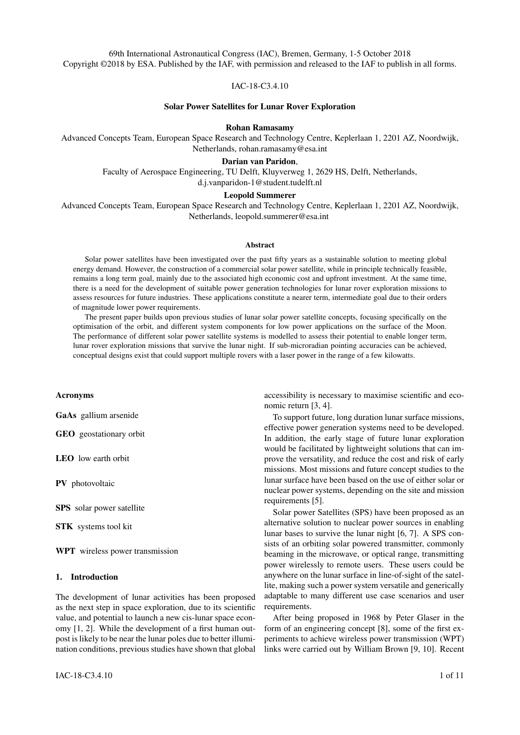Table 1: Specifications of different rover designs. The receiver areas are calculated from the power requirements and assumed receiver efficiencies in this study [17, 19].



Figure 2: Diagram showing an estimate for the required pointing accuracy for WPT to a remote target.

### *2.3.2 Maximum link efficiency*

The maximum link efficiency is defined as:

$$
\eta_{link \, max} = \frac{A_r}{A_b} = \frac{w_r^2}{(\sigma_p z + w_r)^2},\tag{3}
$$

where  $A_r$  and  $A_b$  are the receiver, and beam area at the target, respectively. This equation is used to place a constraint on the area covered by the beam on the surface. Specifically, this surface beam area must be greater than  $\frac{A_r}{\eta_{link\ max}}.$ 

The maximum link efficiency relationship (see Eq. 3) is plotted (see Fig. 3) to estimate the performance of transmission links for each rover, at the above pointing accuracies. The results show that the maximum link efficiency that can be achieved for small receivers is low at microradian pointing accuracies, only reaching 9 % for the AMALIA rover, at a  $800 \ km$  range. Sub-microradian pointing errors can achieve much higher efficiencies for the considered ranges.

Larger receivers achieve higher efficiencies as the error in alignment due to pointing inaccuracies becomes less significant. This indicates the importance of both



Mass  $(kq)$ 

Figure 3: Plot of the maximum link efficiency achievable for each rover, assuming different pointing accuracies. These values set an upper bound on the achievable performance, according to the constraints defined for this study (see Eq. 2).

the pointing error and the receiver size in determining the performance of the link, and that as WPT applications increase in scale, their efficiency will increase as well.

### *2.4 Diffraction losses*

The power requirements of a laser transmitter can be determined from the radius of the emitted gaussian beam. For a single laser, or an array using coherent side-by-side beam combining, the beam radius is given by

$$
w_b(z, w_t) = w_t \sqrt{1 + \frac{z^2 \lambda^2}{\pi^2 w_t^4}},
$$
 (4)

where  $w_t$  is the transmitter radius, and  $\lambda$  is the wavelength of light used. Conservation of energy can be used to get the received flux at the target for a given transmitter aperture and power at a given distance from the target.

Modern terrestrial SPS concepts make use of more advanced optics than gaussian beam divergence, which can reduce the beam spot size on target [25]. The transmitter physics used in this study should give a lower limit to the performance that can be achieved for the lunar SPS concepts considered.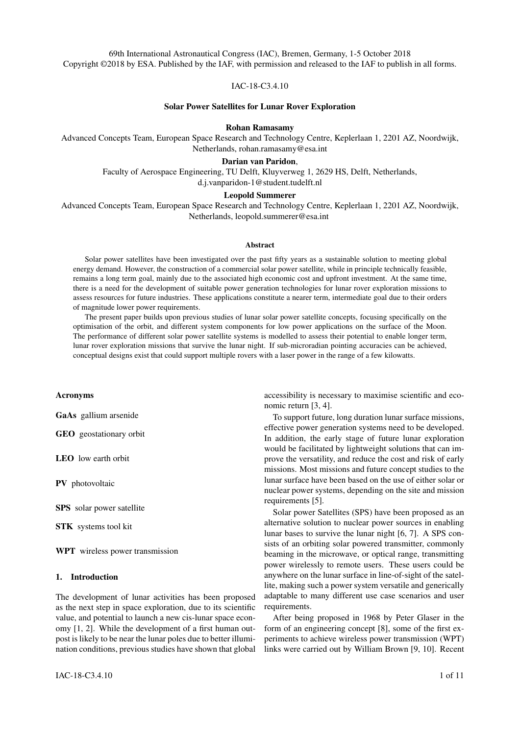### *2.5 Battery requirements for surviving blackouts*

A single SPS is not able to provide continuous coverage to a lunar rover, because there will always be times when the satellite does not have a line-of-sight access to the target. As a result, the rover will need some battery storage capacity to sustain its operations during these periods. The required energy capacity can be approximated by

$$
E_{battery} = P_{hibernational} T_{blackout}.
$$
 (5)

where  $T_{blackout}$  is the length of the maximum blackout period.

The battery capacity will depend on the chosen orbit, and its associated maximum blackout period. This relationship will be used in the analysis of simulation results in Section 4.1.

#### *2.6 Potential operating space for rover designs*

Using the above equations, it is possible to calculate the link efficiency (see Eq. 3) of a laser power transmission link, subject to constraints on its performance. The received surface flux is constrained to be greater than the required flux to power the target rover. In addition, the modelled link must be able to transmit to the rover subject to the pointing requirements outlined above.

This model is applied to the Sorato rover at its operational power for different assumed pointing errors (see Fig. 4). The plots show the link efficiency of the system, given in percent on a logarithmic axis, as a function of transmitter radius, and transmission distance. Representative laser powers are considered to be 4.0, 15.0 and 100.0 kW. These powers were taken from terrestrial continuous power transmitters used in industry [26, 27]. 859 nm laser transmitters optimised for GaAs cells have been proposed at these power levels for similar applications previously [13].

The blank spaces in these plots are designs which are not feasible subject to the pointing, and power requirement constraints. At small and large transmitter diameters, most of the design space is removed, because the power received is too low. The middle region of the parameter space, containing the highest efficiency designs, is removed due to the pointing accuracy requirements. The range of possible transmission distances increases as the power of the transmitter increases, because this enables the minimum power requirement to be achieved for a larger beam spot size.

Most link efficiencies in the feasible parameter space are below 10  $\%$ , and decay quickly to values below 2  $\%$ at ranges above 2000 km for the 1  $\mu Rad$  case. With the performance of current laser transmitters using gaussian optics, and no beam focusing, the efficiency of SPS power transmission links is very low, leading to the need for transmitter powers above  $15 \; kW$  to access altitudes

above  $2500 \ km$  for the Sorato rover. Higher efficiencies can be obtained with a more challenging 0.1  $\mu Rad$  pointing error. If this is achievable, a  $4 \, kW$  laser transmitter could provide operational power to the Sorato rover over most of the altitude range considered. Similar conclusions are reached for the AMALIA rover design.

### *2.7 Choice of wavelength*

The above analysis has focused on gaussian beam optics applicable to laser systems. Typically, SPS concepts use either microwave, or optical frequencies. Microwave transmitters and receivers have not been considered in this study, because the spot size for microwave transmission concepts is over 1000 times greater than for laser transmitters, requiring significantly shorter ranges. As the simulation results discussed in Section 4 will show, these lower altitude orbits are less promising for SPS links due to longer blackout periods and increased transmission intermittency. For this reason, microwave wavelengths were omitted as a viable design option for this study.

#### 3. Simulation methods

The following analysis uses the same methodology as previous studies, which model the orbits of SPS power transmission links using STK [13, 14]. An example of one of the simulations from this study is shown (see Fig. 5).

Orbital simulations around the Moon can be initialised with one or more satellites, modelling the access to targets located on the lunar surface. It is assumed that the speed at which the target moves, and the region across the Moon's surface which it explores, is small enough that the target can be approximated as stationary.

### *3.1 Modes of operation*

A SPS link is defined to be in one of three states (see Fig. 6). The first state is when the rover has access to direct sunlight. In this instance, the rover supports itself using the sun, and the state of the SPS does not need to be taken into account. The second case is when the satellite is in view of the sun, while the target rover is eclipsed. This is defined as an active period, in which the satellite powers the rover. The final event type is a blackout event. This occurs when the rover is eclipsed, and the SPS cannot beam power to it. This may either be because the SPS has no access to the target, or is eclipsed itself.

#### *3.2 Simulation analysis*

Reports are generated in STK for the access periods of the satellite to the target, as well as the times at which the SPS and target are in sunlight. This information can be used to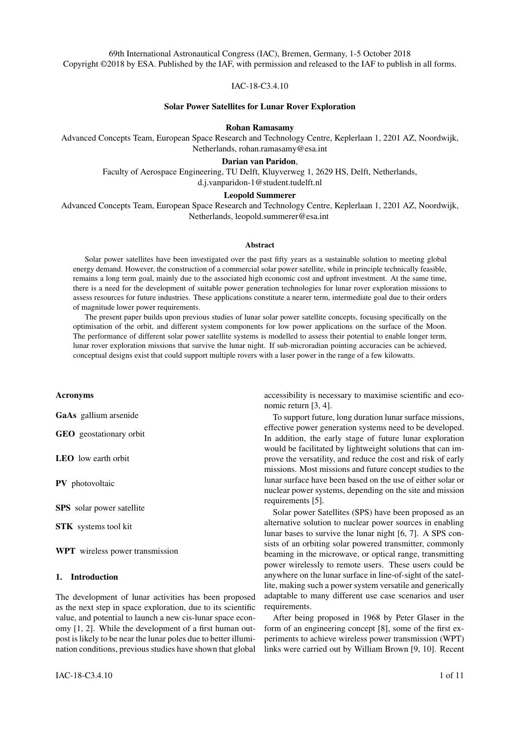

Figure 4: Link efficiency for the Sorato rover in operation mode assuming 1  $\mu Rad$  and 0.1  $\mu Rad$  pointing errors. The efficiency is plotted as a percentage on a logarithmic scale. A sub-microradian pointing error is necessary for high altitude Sorato link designs below  $4 \, kW$ . The rover configurations modelled show that most of the feasible design space for such transmission links is at orbit altitudes below  $5000 \, km$ .

work out the duration of active periods and blackouts for the power transmission links.

Statistical values are used for the range between the target and satellite, due to the large amount of data required to store the time varying range for all simulations. The average of the minimum and maximum range for all access periods are taken to give an indication of whether the pointing and power requirements for a particular link are met.

### *3.3 Orbit propagator*

The J4 perturbation model is used to propagate the satellite orbit, taking into account effects due to the oblateness of the Moon. This propagator is appropriate for preliminary assessments of maintained satellite orbits where the maintenance manoeuvres are not modelled [28].

### *3.4 Parameter space selection*

To assess the feasibility of different SPS designs, the performance of different orbits were compared when beaming to the same target, fixed at a latitude  $45$  N. Simulations are run over a two year period from the  $17<sup>th</sup>$  May 2018. This ensures that fluctuations in results will average out over the simulation time span.

The parameter space for orbits is vast. Previous studies

have shown the potential of both equatorial and polar orbits [13, 14]. An orbit with an inclination from the equatorial plane is limited in its ability to service both the Northern and Southern hemispheres of the Moon at any given time, which leads to long eclipse times. Highly elliptical polar orbits are designed to service only one hemisphere of the Moon.

For this study, orbits are constrained to the equatorial plane. In this plane, the semi-major axis and the eccentricity of the orbit are then varied to model circular and elliptical orbits in the range of perilunes and apolunes above 800 km and below 5000 km. Lower altitude orbits are not considered because they have limited line-of-sight access for the selected target.

### 4. Results

### *4.1 Assessment of power transmission links*

Potential orbits for SPS energy service providers can be found by applying a set of constraints to the data generated from STK simulations. These constraints are necessary, but not sufficient in determining the feasibility of the orbit, as is discussed further in Section 4.2.

The pointing and minimum power requirements are defined as in the preliminary analysis in Section 2.6. In addition, the maximum blackout duration can be used to apply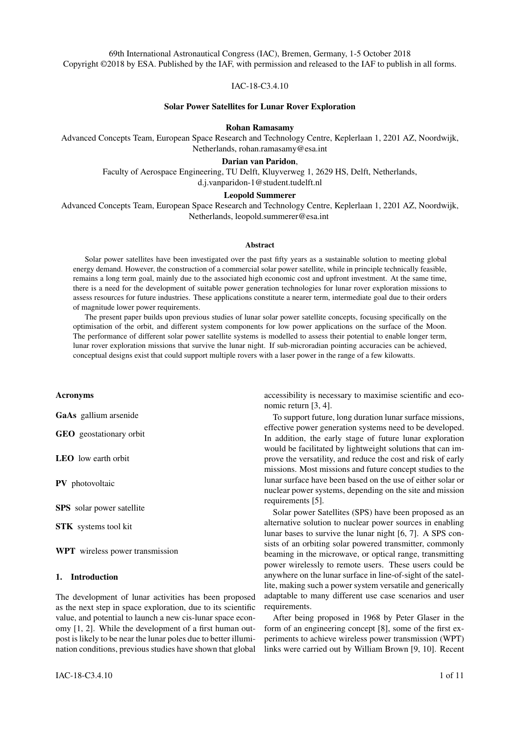

Figure 5: STK simulation modelling the link between a lunar SPS and a target on the Moon. The duration and sequence of active periods and blackouts is used alongside statistics on ranging to assess the performance of power transmission links.

Table 2: Table of constraints applied to simulation results. Orbits that satisfy these constraints define a parameter space for SPS designs.

| Constraint            | Condition                                                                                               |  |  |
|-----------------------|---------------------------------------------------------------------------------------------------------|--|--|
| Minimum power         | $>= P_{operation}$                                                                                      |  |  |
| Pointing accuracy     | $w_b > z\sigma_p + w_r$                                                                                 |  |  |
| Minimum active time   | $\frac{P_{\text{eclipse}}}{P_{\text{operation}}}\n \frac{P_{\text{hibernation}}}{P_{\text{operation}}}$ |  |  |
| Maximum blackout time | $T_{blackout} = \frac{L_{out}}{P_{hiber}}$                                                              |  |  |

a constraint on the necessary power storage (see Eq. 5), such that a single blackout is not able to deplete the rover battery capacity. The minimum overall active time of the SPS is also constrained to ensure enough energy is delivered to survive the lunar night. For this to be true, energy delivered during the active beaming time at operational power must be greater than the energy used by the rover in hibernation.  $T_{eclipse}$  (as shown in Table 2) is the total time for which the target is eclipsed from the sun.

Within the feasible design space, the orbit is optimised to maximise the average link efficiency over the simulation. This optimisation metric is chosen because it provides the most flexibility in terms of transmitter power and the minimisation of the SPS system size overall. In general, the selected orbit, marked on the plot of mean link efficiency, will be at the lowest altitude orbit possible within the design space, as this will reduce the mean range between the target and satellite during the two year period.



Figure 6: The satellite and target can be in one of three conditions. An illuminated state (top) is when the target is powered by direct sunlight, and the SPS is assumed to be inactive. An active period (middle) is when the SPS is actively beaming to the target. A blackout event (bottom) is when the SPS has no access to the target, or is eclipsed while in range, and the target is simultaneously eclipsed.

Results from simulations for the Sorato and AMALIA rovers are shown for 0.1  $\mu Rad$  pointing accuracy (see Fig. 7). The plots show the total active time as a percentage of the two year simulation, the maximum blackout time for the simulation, the approximate laser power required for the satellite, and the mean link efficiency achieved.

It can be seen that for both rovers, the lower altitude parameter space has been removed. This is due to the minimum active time and pointing requirement constraints. The high altitude parameter space has also been removed for the Sorato rover. This is due to the maximum blackout constraint. The AMALIA rover can function in these higher orbits because it has a larger battery capacity compared to its power requirements in hibernation.

At 0.1  $\mu Rad$ , the power of the laser must be greater than approximately 3.44  $kW$  and 2.35  $kW$  for the Sorato and AMALIA rovers respectively at the optimum design point shown in the plots. The assumed AMALIA rover design has lower power requirements, despite its higher operation and hibernation power demand. This is because the assumed receiver area is much larger than that of the Sorato rover, making higher link efficiencies possible.

If the pointing error is increased to 1  $\mu Rad$ , the model optimises the link to the same orbit, constrained to this altitude by the minimum active time of the satellite.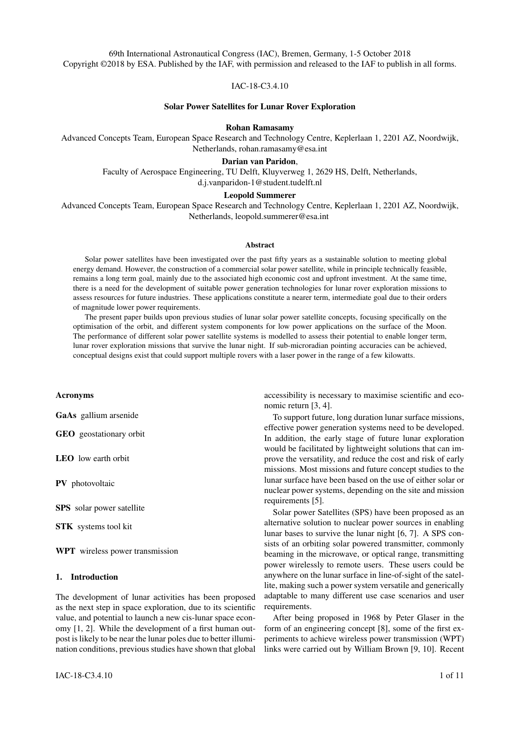

Figure 7: Plots of the performance of SPS links for the Sorato and AMALIA rovers assuming 0.1  $\mu Rad$  pointing accuracy. The optimum orbit, in terms of minimising the power requirements of the laser transmitter, is marked on the plots of mean link efficiency.

The laser powers increase substantially to  $25.2 \, kW$ , and 14.2  $kW$ , for the Sorato and AMALIA rovers, respectively. This power is on the same order of magnitude as the  $40 \; kW$  laser considered for the much larger scale lunar studies by Brandhorst et al. [13].

# *4.2 Energy balance during lunar night*

The results outlined above are not sufficient to confirm the achievement of indefinite rover operations. It is assumed in the assessment of the power storage constraint that the battery is fully charged at the beginning of the maximum blackout period. This may not be true, because the lunar night is 14 days long, and the maximum blackout duration is in the range of 5 to 14 hours (see Fig. 7). Multiple blackout periods will occur during each lunar night, for which the SPS will need to sustain the rover.

The energy stored on the Sorato, and AMALIA rovers is calculated over the duration of the simulation for their respective optimised orbits. During active periods, operational power is delivered to the rover, so that the battery is assumed to be charging with input power,  $P_{operation}$  $P_{hibernational}$ . During blackout periods, the rover is in hi-

bernation mode.

It was found that both the AMALIA and Sorato rover batteries were depleted during each lunar night for the original optimised orbits considered above. Although the average power delivered to the rover is greater than the

necessary power to survive the lunar night, the local energy demand at increased points of intermittency in the service provided by the SPS exceeds the battery capacity. The increased intermittency occurs because, during these periods, the SPS is in the shadow of the Moon for more of the time that it has line-of-sight access to the target.

The overall energy delivered to the rovers can be increased in three ways. The apolune and perilune altitude can be increased, a second SPS can be introduced, or it can be assumed that the SPS has its own battery, allowing it to store energy that it can beam to the rover, even when eclipsed. Because the detailed design of the SPS is left out of scope, the third option was not considered in this study.

Adjusting the satellite orbit for the AMALIA rover allowed it to survive the lunar night for a  $1700 \ km$  altitude, circular orbit. The change in altitude increased the power requirements to 2.8  $kW$  and 19.4  $kW$ , depending on the pointing accuracy of the satellite.

The Sorato rover could not survive the lunar night by increasing the altitude of the satellite within the range of the design points considered in this study. Instead, a second satellite had to be introduced. The second SPS is placed in the same orbit, at a 180 argument of perigee to the first. This multiple satellite design is not optimised, but would allow the Sorato rover to survive the lunar night.

The above adjustments to the orbits lead to a surplus of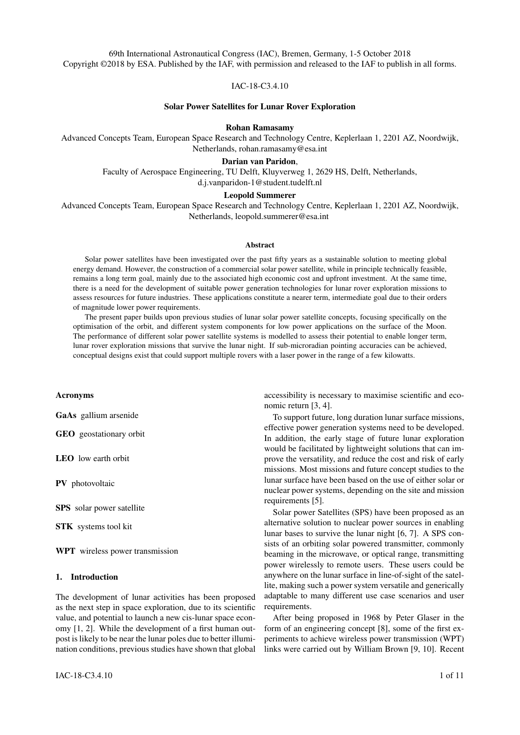

Figure 8: Energy stored by the Sorato and AMALIA rover batteries over one lunar night for their chosen orbits (as shown in Table 3). The energy delivered to the rover, decreases for the middle period of the night, because the SPS is prevented from beaming, while in the shadow of the Moon.

energy delivered to the rovers that enables them to operate for 26.4 % and 10.3 % of the lunar night for the Sorato and AMALIA rovers, respectively. Alternatively, the active time used to beam this excess energy could be used to service other targets. The minimum battery capacity over the two year simulation period is 61.7  $\%$  for Sorato and 47.4 % for AMALIA.

# 5. Discussion

The designs considered in this study have low link efficiencies, which lead to considerable power requirements on the laser transmitters relative to the receiver operating power. The power required for Sorato and AMALIA concepts would need to be above  $3.44 \; kW$  to  $25.2 \; kW$  and 2.8  $kW$  to 19.4  $kW$ , respectively, depending on the pointing accuracy assumed (as shown in Table 3).

Subject to the constraints assumed in this study, it is possible to enable lightweight lunar rover missions that can survive the lunar night using SPS technologies. These SPS systems would have power levels similar to modern terrestrial lasers, and could provide a global lunar power supply for the early stage exploration that is necessary to evaluate the resources of the Moon.

At the same time, this study has highlighted the challenges posed to a lunar SPS energy service provider. It has been shown that the mean link efficiency for small targets at the ranges being considered is very low for near term system designs. Larger users can achieve a higher efficiency. In general, it can be said that as the scale of lunar exploration and industries increases, the performance of a SPS energy service provider will also increase.

There are several ways in which the performance of small scale exploration could be improved. The critical Table 3: Design parameters of SPS links for the Sorato and AMALIA rover to survive the lunar night.

| Parameter                | Sorato |      | <b>AMALIA</b> |      |
|--------------------------|--------|------|---------------|------|
| Number of Satellites     | 2      |      |               |      |
| Apolune altitude $(km)$  | 2300.0 |      | 1700.0        |      |
| Perilune altitude $(km)$ | 2300.0 |      | 1700.0        |      |
| $\sigma_p$ ( $\mu Rad$ ) | 0.1    |      | 0.1           |      |
| $\bar{\eta}_{link}$ (%)  | 1.40   | 0.21 | 7.92          | 1.25 |
| $P_t(kW)$                | 3.44   | 25.2 | 2.8           | 19.4 |
| $w_t(m)$                 | 0.95   | 0.26 | 0.86          | 0.24 |
| $E_{battery min}$ (%)    | 61.7   |      | 47.4          |      |
| SPS Active time (%)      | 5.21   |      | 3.51          |      |

design parameters are the pointing accuracy of the power transmission link and receiver area. It has already been shown that reducing the pointing error to 0.1  $\mu Rad$  reduces the necessary laser power.

To achieve a larger receiver area, the SPS could power a lander. Exploring rovers could use the lander as a base to receive power, allowing them to survive the lunar night. Alternatively, as shown for the Sorato rover, a relatively small SPS constellation would increase the power delivered, and reduce the intermittency to a single target on the Moon. Having more satellites would enable lower altitude orbits. This would in turn reduce the power level of the necessary laser, and improve the link efficiency.

The average active time per satellite for the SPS links modelled in this study is  $3.51 \quad 5.2 \%$  of the two year simulation time (as shown in Table 3). This indicates the potential for having many more target receivers on the Moon to extract more value from a single satellite.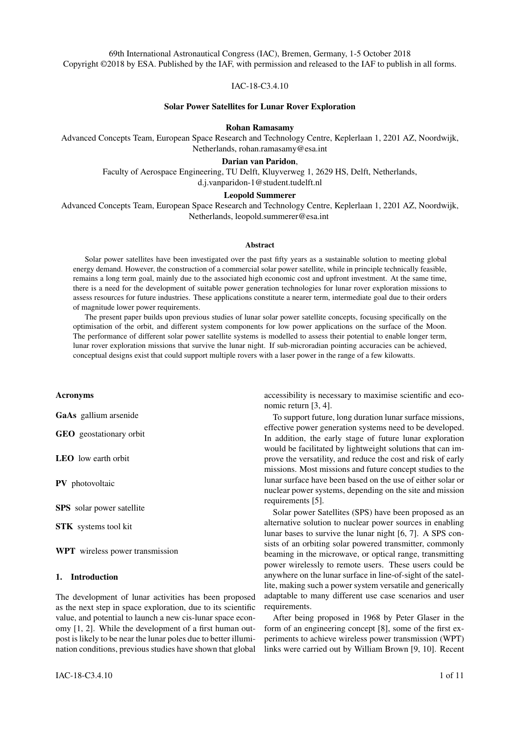### 6. Conclusion

This study has explored the potential of a SPS energy service provider to enable small scale lunar rover missions that survive the lunar night. This is a near term application of WPT that provides added value to the early stages of lunar exploration, in a way that should be scalable to larger investments at later stages in the timeline.

It is possible for SPS to provide a versatile power supply to multiple locations on the Moon at once, enabling long term access to these regions, and operation during the lunar night without using nuclear technologies. The value of this global access needs to be weighed against the power requirements to enable the technology.

The above model can be extended to include polar orbits and SPS constellations. Larger scale target receivers and improved optics should also be considered to increase the performance of power transmission links. More constraints concerning the tracking of the SPS by the receiver, the cost of station keeping, and the thermal management of both the SPS and receiver are necessary for the above modelling to give a comprehensive design of SPS systems. These topics are the subject of future work.

#### Acknowledgements

The authors would like to thank Dr. Chit Hong Yam and Dr. Henning Helmers for their support through technical discussions of the results in this paper.

### References

- [1] J. Woerner and B. Foing. The "Moon Village" concept and initiative. *Annual Meeting of the Lunar Exploration Analysis Group*, 2016.
- [2] I. Crawford. Why we should build a Moon Village. *Astronomy & Geophysics*, 58, 2017.
- [3] D.B.J. Bussey, J.A. McGovern, P.D. Spudis, C.D. Neish, H. Noda, Y. Ishihara, and S.-A. Sørensen. Illumination conditions of the south pole of the Moon derived using Kaguya topography. *Icarus*, 208, 2010.
- [4] G. J. Taylor and P. D. Spudis. Geoscience and a Lunar Base: A Comprehensive Plan for Lunar Exploration. In *Proceedings of a workshop sponsored by the National Aeronautics and Space Administration*, 1988.
- [5] P. Eckart. *The Lunar Base Handbook*. Learning Solutions, 2006.
- [6] L. Summerer, M. Ayre, A. Galvez, F. Ongaro, and M. Vasile. Roles of Solar Power from Space for

Europe: Space Exploration and Combinations with Terrestrial Solar Power Plant Concepts. In *55th International Astronautical Congress*, 2004.

- [7] L. T. Soto and L. Summerer. Power to survive the lunar night: An SPS Application? In *59th International Astronautical Congress*, 2008.
- [8] P. Glaser. Power from the Sun: Its Future. *Science*, 162(3856), 1968.
- [9] W. C. Brown, J. R. Mims, and N. I. Heenan. An experimental microwave-powered helicopter. *IEEE International Convention Record*, 13, 1966.
- [10] W. C. Brown and E. E. Eves. Beamed Microwave Power Transmission and its Application to Space. *IEEE Transactions on Microwave Theory and Techniques*, 40(6), 1992.
- [11] C. Cougnet, E. Sein, A. Celeste, and L. Summerer. Solar power satellites for space exploration and applications. In *55th International Astronautical Congress*, 2004.
- [12] J. C. Mankins. Space Solar Power: The first international assessment of space solar power: opportunities, issues, and potential paths forward. *International Academy of Astronautics*, 2011.
- [13] H. W. Brandhorst, J. A. Rodiek, M. S. Crumpler, and M. J. O'Neill. A solar electric propulsion mission for lunar power beaming. *Acta Astronautica*, 2009.
- [14] V. Badescu. *Moon: Prospective Energy and Material Resources*. Springer, 2012.
- [15] L. Johnson. Orbital space solar power option for a lunar village. In *10th IAA Symposium on the future of space exploration: towards space village and beyond*, 2017.
- [16] S. Bowler. The new race to the Moon. *Astronomy & Geophysics*, 55, 2014.
- [17] A. D. Torre, A. E. Finzi, G. Genta, F. Curti, L. Schirone, G. Capuano, A. Sacchetti, I. Vukman, F. Mailland, E. Monchieri, A. Guidi, R. Trucco, I. Musso, and C. Lombardi. AMALIA Mission Lunar Rover—The conceptual design of the Team ITALIA Rover, candidate for the Google Lunar X Prize Challenge. *Acta Astronautica*, 2010.
- [18] H. Hemmati. *Deep Space Optical Communications*. Jet Propulsion Laboratories: Communications and Navigation Series, 2005.